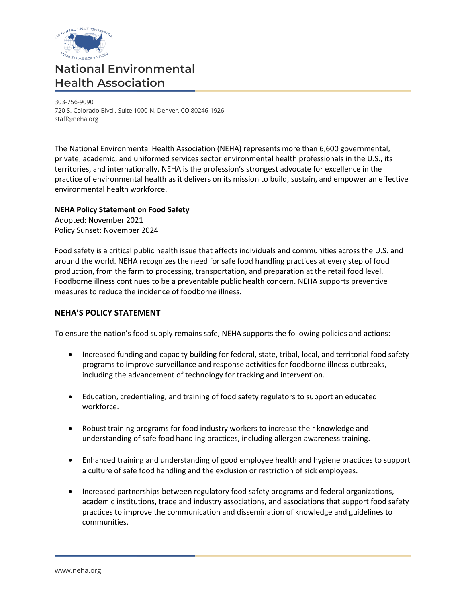

# **National Environmental Health Association**

303-756-9090 720 S. Colorado Blvd., Suite 1000-N, Denver, CO 80246-1926 staff@neha.org

The National Environmental Health Association (NEHA) represents more than 6,600 governmental, private, academic, and uniformed services sector environmental health professionals in the U.S., its territories, and internationally. NEHA is the profession's strongest advocate for excellence in the practice of environmental health as it delivers on its mission to build, sustain, and empower an effective environmental health workforce.

## **NEHA Policy Statement on Food Safety**

Adopted: November 2021 Policy Sunset: November 2024

Food safety is a critical public health issue that affects individuals and communities across the U.S. and around the world. NEHA recognizes the need for safe food handling practices at every step of food production, from the farm to processing, transportation, and preparation at the retail food level. Foodborne illness continues to be a preventable public health concern. NEHA supports preventive measures to reduce the incidence of foodborne illness.

### **NEHA'S POLICY STATEMENT**

To ensure the nation's food supply remains safe, NEHA supports the following policies and actions:

- Increased funding and capacity building for federal, state, tribal, local, and territorial food safety programs to improve surveillance and response activities for foodborne illness outbreaks, including the advancement of technology for tracking and intervention.
- Education, credentialing, and training of food safety regulators to support an educated workforce.
- Robust training programs for food industry workers to increase their knowledge and understanding of safe food handling practices, including allergen awareness training.
- Enhanced training and understanding of good employee health and hygiene practices to support a culture of safe food handling and the exclusion or restriction of sick employees.
- Increased partnerships between regulatory food safety programs and federal organizations, academic institutions, trade and industry associations, and associations that support food safety practices to improve the communication and dissemination of knowledge and guidelines to communities.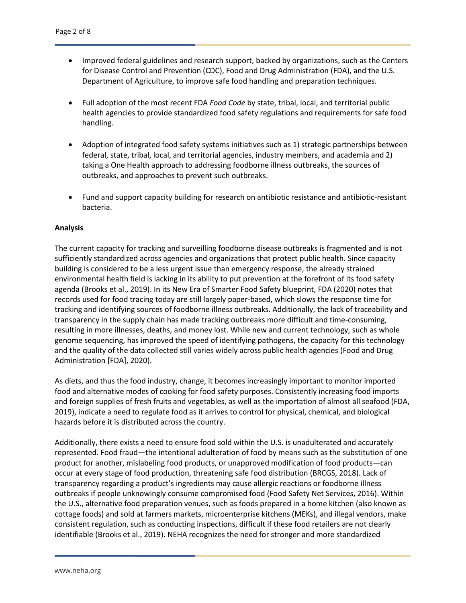- Improved federal guidelines and research support, backed by organizations, such as the Centers for Disease Control and Prevention (CDC), Food and Drug Administration (FDA), and the U.S. Department of Agriculture, to improve safe food handling and preparation techniques.
- Full adoption of the most recent FDA *Food Code* by state, tribal, local, and territorial public health agencies to provide standardized food safety regulations and requirements for safe food handling.
- Adoption of integrated food safety systems initiatives such as 1) strategic partnerships between federal, state, tribal, local, and territorial agencies, industry members, and academia and 2) taking a One Health approach to addressing foodborne illness outbreaks, the sources of outbreaks, and approaches to prevent such outbreaks.
- Fund and support capacity building for research on antibiotic resistance and antibiotic-resistant bacteria.

#### **Analysis**

The current capacity for tracking and surveilling foodborne disease outbreaks is fragmented and is not sufficiently standardized across agencies and organizations that protect public health. Since capacity building is considered to be a less urgent issue than emergency response, the already strained environmental health field is lacking in its ability to put prevention at the forefront of its food safety agenda (Brooks et al., 2019). In its New Era of Smarter Food Safety blueprint, FDA (2020) notes that records used for food tracing today are still largely paper-based, which slows the response time for tracking and identifying sources of foodborne illness outbreaks. Additionally, the lack of traceability and transparency in the supply chain has made tracking outbreaks more difficult and time-consuming, resulting in more illnesses, deaths, and money lost. While new and current technology, such as whole genome sequencing, has improved the speed of identifying pathogens, the capacity for this technology and the quality of the data collected still varies widely across public health agencies (Food and Drug Administration [FDA], 2020).

As diets, and thus the food industry, change, it becomes increasingly important to monitor imported food and alternative modes of cooking for food safety purposes. Consistently increasing food imports and foreign supplies of fresh fruits and vegetables, as well as the importation of almost all seafood (FDA, 2019), indicate a need to regulate food as it arrives to control for physical, chemical, and biological hazards before it is distributed across the country.

Additionally, there exists a need to ensure food sold within the U.S. is unadulterated and accurately represented. Food fraud—the intentional adulteration of food by means such as the substitution of one product for another, mislabeling food products, or unapproved modification of food products—can occur at every stage of food production, threatening safe food distribution (BRCGS, 2018). Lack of transparency regarding a product's ingredients may cause allergic reactions or foodborne illness outbreaks if people unknowingly consume compromised food (Food Safety Net Services, 2016). Within the U.S., alternative food preparation venues, such as foods prepared in a home kitchen (also known as cottage foods) and sold at farmers markets, microenterprise kitchens (MEKs), and illegal vendors, make consistent regulation, such as conducting inspections, difficult if these food retailers are not clearly identifiable (Brooks et al., 2019). NEHA recognizes the need for stronger and more standardized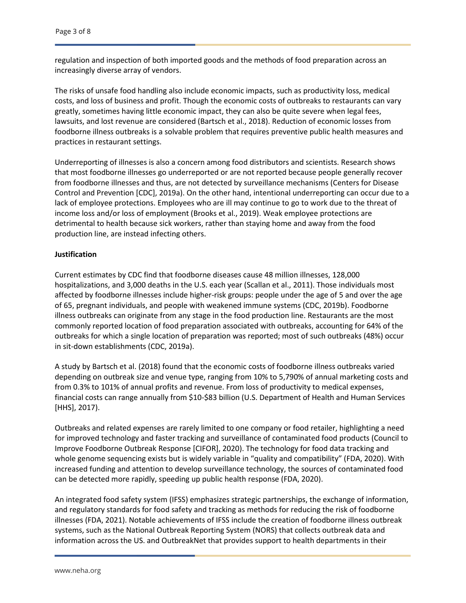regulation and inspection of both imported goods and the methods of food preparation across an increasingly diverse array of vendors.

The risks of unsafe food handling also include economic impacts, such as productivity loss, medical costs, and loss of business and profit. Though the economic costs of outbreaks to restaurants can vary greatly, sometimes having little economic impact, they can also be quite severe when legal fees, lawsuits, and lost revenue are considered (Bartsch et al., 2018). Reduction of economic losses from foodborne illness outbreaks is a solvable problem that requires preventive public health measures and practices in restaurant settings.

Underreporting of illnesses is also a concern among food distributors and scientists. Research shows that most foodborne illnesses go underreported or are not reported because people generally recover from foodborne illnesses and thus, are not detected by surveillance mechanisms (Centers for Disease Control and Prevention [CDC], 2019a). On the other hand, intentional underreporting can occur due to a lack of employee protections. Employees who are ill may continue to go to work due to the threat of income loss and/or loss of employment (Brooks et al., 2019). Weak employee protections are detrimental to health because sick workers, rather than staying home and away from the food production line, are instead infecting others.

#### **Justification**

Current estimates by CDC find that foodborne diseases cause 48 million illnesses, 128,000 hospitalizations, and 3,000 deaths in the U.S. each year (Scallan et al., 2011). Those individuals most affected by foodborne illnesses include higher-risk groups: people under the age of 5 and over the age of 65, pregnant individuals, and people with weakened immune systems (CDC, 2019b). Foodborne illness outbreaks can originate from any stage in the food production line. Restaurants are the most commonly reported location of food preparation associated with outbreaks, accounting for 64% of the outbreaks for which a single location of preparation was reported; most of such outbreaks (48%) occur in sit-down establishments (CDC, 2019a).

A study by Bartsch et al. (2018) found that the economic costs of foodborne illness outbreaks varied depending on outbreak size and venue type, ranging from 10% to 5,790% of annual marketing costs and from 0.3% to 101% of annual profits and revenue. From loss of productivity to medical expenses, financial costs can range annually from \$10-\$83 billion (U.S. Department of Health and Human Services [HHS], 2017).

Outbreaks and related expenses are rarely limited to one company or food retailer, highlighting a need for improved technology and faster tracking and surveillance of contaminated food products (Council to Improve Foodborne Outbreak Response [CIFOR], 2020). The technology for food data tracking and whole genome sequencing exists but is widely variable in "quality and compatibility" (FDA, 2020). With increased funding and attention to develop surveillance technology, the sources of contaminated food can be detected more rapidly, speeding up public health response (FDA, 2020).

An integrated food safety system (IFSS) emphasizes strategic partnerships, the exchange of information, and regulatory standards for food safety and tracking as methods for reducing the risk of foodborne illnesses (FDA, 2021). Notable achievements of IFSS include the creation of foodborne illness outbreak systems, such as the National Outbreak Reporting System (NORS) that collects outbreak data and information across the US. and OutbreakNet that provides support to health departments in their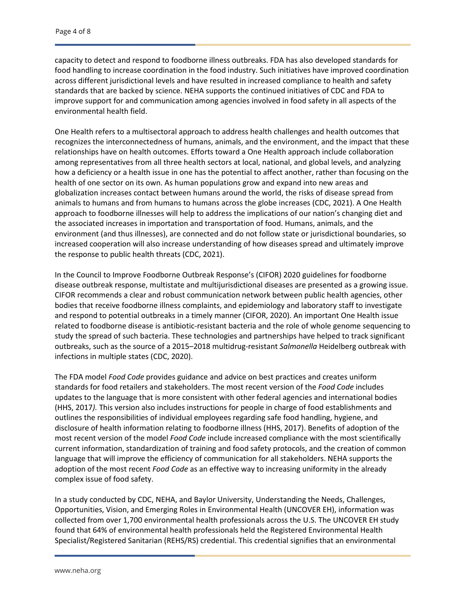capacity to detect and respond to foodborne illness outbreaks. FDA has also developed standards for food handling to increase coordination in the food industry. Such initiatives have improved coordination across different jurisdictional levels and have resulted in increased compliance to health and safety standards that are backed by science. NEHA supports the continued initiatives of CDC and FDA to improve support for and communication among agencies involved in food safety in all aspects of the environmental health field.

One Health refers to a multisectoral approach to address health challenges and health outcomes that recognizes the interconnectedness of humans, animals, and the environment, and the impact that these relationships have on health outcomes. Efforts toward a One Health approach include collaboration among representatives from all three health sectors at local, national, and global levels, and analyzing how a deficiency or a health issue in one has the potential to affect another, rather than focusing on the health of one sector on its own. As human populations grow and expand into new areas and globalization increases contact between humans around the world, the risks of disease spread from animals to humans and from humans to humans across the globe increases (CDC, 2021). A One Health approach to foodborne illnesses will help to address the implications of our nation's changing diet and the associated increases in importation and transportation of food. Humans, animals, and the environment (and thus illnesses), are connected and do not follow state or jurisdictional boundaries, so increased cooperation will also increase understanding of how diseases spread and ultimately improve the response to public health threats (CDC, 2021).

In the Council to Improve Foodborne Outbreak Response's (CIFOR) 2020 guidelines for foodborne disease outbreak response, multistate and multijurisdictional diseases are presented as a growing issue. CIFOR recommends a clear and robust communication network between public health agencies, other bodies that receive foodborne illness complaints, and epidemiology and laboratory staff to investigate and respond to potential outbreaks in a timely manner (CIFOR, 2020). An important One Health issue related to foodborne disease is antibiotic-resistant bacteria and the role of whole genome sequencing to study the spread of such bacteria. These technologies and partnerships have helped to track significant outbreaks, such as the source of a 2015–2018 multidrug-resistant *Salmonella* Heidelberg outbreak with infections in multiple states (CDC, 2020).

The FDA model *Food Code* provides guidance and advice on best practices and creates uniform standards for food retailers and stakeholders. The most recent version of the *Food Code* includes updates to the language that is more consistent with other federal agencies and international bodies (HHS, 2017*).* This version also includes instructions for people in charge of food establishments and outlines the responsibilities of individual employees regarding safe food handling, hygiene, and disclosure of health information relating to foodborne illness (HHS, 2017). Benefits of adoption of the most recent version of the model *Food Code* include increased compliance with the most scientifically current information, standardization of training and food safety protocols, and the creation of common language that will improve the efficiency of communication for all stakeholders. NEHA supports the adoption of the most recent *Food Code* as an effective way to increasing uniformity in the already complex issue of food safety.

In a study conducted by CDC, NEHA, and Baylor University, Understanding the Needs, Challenges, Opportunities, Vision, and Emerging Roles in Environmental Health (UNCOVER EH), information was collected from over 1,700 environmental health professionals across the U.S. The UNCOVER EH study found that 64% of environmental health professionals held the Registered Environmental Health Specialist/Registered Sanitarian (REHS/RS) credential. This credential signifies that an environmental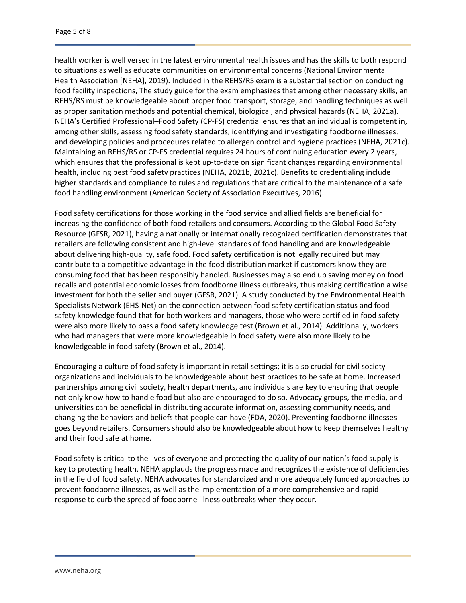health worker is well versed in the latest environmental health issues and has the skills to both respond to situations as well as educate communities on environmental concerns (National Environmental Health Association [NEHA], 2019). Included in the REHS/RS exam is a substantial section on conducting food facility inspections, The study guide for the exam emphasizes that among other necessary skills, an REHS/RS must be knowledgeable about proper food transport, storage, and handling techniques as well as proper sanitation methods and potential chemical, biological, and physical hazards (NEHA, 2021a). NEHA's Certified Professional–Food Safety (CP-FS) credential ensures that an individual is competent in, among other skills, assessing food safety standards, identifying and investigating foodborne illnesses, and developing policies and procedures related to allergen control and hygiene practices (NEHA, 2021c). Maintaining an REHS/RS or CP-FS credential requires 24 hours of continuing education every 2 years, which ensures that the professional is kept up-to-date on significant changes regarding environmental health, including best food safety practices (NEHA, 2021b, 2021c). Benefits to credentialing include higher standards and compliance to rules and regulations that are critical to the maintenance of a safe food handling environment (American Society of Association Executives, 2016).

Food safety certifications for those working in the food service and allied fields are beneficial for increasing the confidence of both food retailers and consumers. According to the Global Food Safety Resource (GFSR, 2021), having a nationally or internationally recognized certification demonstrates that retailers are following consistent and high-level standards of food handling and are knowledgeable about delivering high-quality, safe food. Food safety certification is not legally required but may contribute to a competitive advantage in the food distribution market if customers know they are consuming food that has been responsibly handled. Businesses may also end up saving money on food recalls and potential economic losses from foodborne illness outbreaks, thus making certification a wise investment for both the seller and buyer (GFSR, 2021). A study conducted by the Environmental Health Specialists Network (EHS-Net) on the connection between food safety certification status and food safety knowledge found that for both workers and managers, those who were certified in food safety were also more likely to pass a food safety knowledge test (Brown et al., 2014). Additionally, workers who had managers that were more knowledgeable in food safety were also more likely to be knowledgeable in food safety (Brown et al., 2014).

Encouraging a culture of food safety is important in retail settings; it is also crucial for civil society organizations and individuals to be knowledgeable about best practices to be safe at home. Increased partnerships among civil society, health departments, and individuals are key to ensuring that people not only know how to handle food but also are encouraged to do so. Advocacy groups, the media, and universities can be beneficial in distributing accurate information, assessing community needs, and changing the behaviors and beliefs that people can have (FDA, 2020). Preventing foodborne illnesses goes beyond retailers. Consumers should also be knowledgeable about how to keep themselves healthy and their food safe at home.

Food safety is critical to the lives of everyone and protecting the quality of our nation's food supply is key to protecting health. NEHA applauds the progress made and recognizes the existence of deficiencies in the field of food safety. NEHA advocates for standardized and more adequately funded approaches to prevent foodborne illnesses, as well as the implementation of a more comprehensive and rapid response to curb the spread of foodborne illness outbreaks when they occur.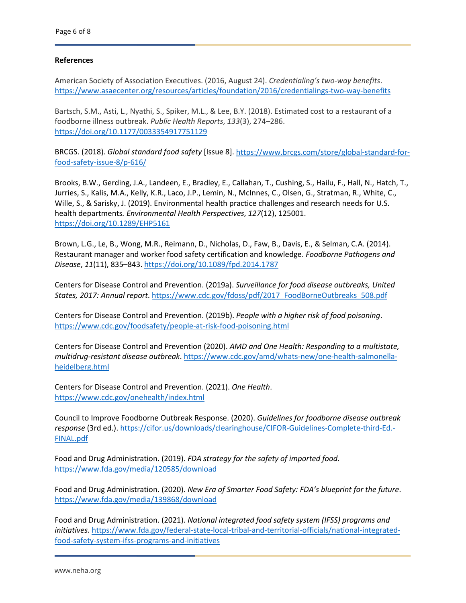#### **References**

American Society of Association Executives. (2016, August 24). *Credentialing's two-way benefits*. <https://www.asaecenter.org/resources/articles/foundation/2016/credentialings-two-way-benefits>

Bartsch, S.M., Asti, L., Nyathi, S., Spiker, M.L., & Lee, B.Y. (2018). Estimated cost to a restaurant of a foodborne illness outbreak. *Public Health Reports*, *133*(3), 274–286. <https://doi.org/10.1177/0033354917751129>

BRCGS. (2018). *Global standard food safety* [Issue 8]. [https://www.brcgs.com/store/global-standard-for](https://www.brcgs.com/store/global-standard-for-food-safety-issue-8/p-616/)[food-safety-issue-8/p-616/](https://www.brcgs.com/store/global-standard-for-food-safety-issue-8/p-616/)

Brooks, B.W., Gerding, J.A., Landeen, E., Bradley, E., Callahan, T., Cushing, S., Hailu, F., Hall, N., Hatch, T., Jurries, S., Kalis, M.A., Kelly, K.R., Laco, J.P., Lemin, N., McInnes, C., Olsen, G., Stratman, R., White, C., Wille, S., & Sarisky, J. (2019). Environmental health practice challenges and research needs for U.S. health departments*. Environmental Health Perspectives*, *127*(12), 125001. [https://doi.org/10.1289/EHP5161](about:blank)

Brown, L.G., Le, B., Wong, M.R., Reimann, D., Nicholas, D., Faw, B., Davis, E., & Selman, C.A. (2014). Restaurant manager and worker food safety certification and knowledge. *Foodborne Pathogens and Disease*, *11*(11), 835–843. <https://doi.org/10.1089/fpd.2014.1787>

Centers for Disease Control and Prevention. (2019a). *Surveillance for food disease outbreaks, United States, 2017: Annual report*[. https://www.cdc.gov/fdoss/pdf/2017\\_FoodBorneOutbreaks\\_508.pdf](https://www.cdc.gov/fdoss/pdf/2017_FoodBorneOutbreaks_508.pdf)

Centers for Disease Control and Prevention. (2019b). *People with a higher risk of food poisoning*. <https://www.cdc.gov/foodsafety/people-at-risk-food-poisoning.html>

Centers for Disease Control and Prevention (2020). *AMD and One Health: Responding to a multistate, multidrug-resistant disease outbreak*[. https://www.cdc.gov/amd/whats-new/one-health-salmonella](about:blank)[heidelberg.html](about:blank)

Centers for Disease Control and Prevention. (2021). *One Health*. [https://www.cdc.gov/onehealth/index.html](about:blank)

Council to Improve Foodborne Outbreak Response. (2020). *Guidelines for foodborne disease outbreak response* (3rd ed.). [https://cifor.us/downloads/clearinghouse/CIFOR-Guidelines-Complete-third-Ed.-](https://cifor.us/downloads/clearinghouse/CIFOR-Guidelines-Complete-third-Ed.-FINAL.pdf) [FINAL.pdf](https://cifor.us/downloads/clearinghouse/CIFOR-Guidelines-Complete-third-Ed.-FINAL.pdf)

Food and Drug Administration. (2019). *FDA strategy for the safety of imported food*. [https://www.fda.gov/media/120585/download](about:blank)

Food and Drug Administration. (2020). *New Era of Smarter Food Safety: FDA's blueprint for the future*. [https://www.fda.gov/media/139868/download](about:blank)

Food and Drug Administration. (2021). *National integrated food safety system (IFSS) programs and initiatives*[. https://www.fda.gov/federal-state-local-tribal-and-territorial-officials/national-integrated](https://www.fda.gov/federal-state-local-tribal-and-territorial-officials/national-integrated-food-safety-system-ifss-programs-and-initiatives)[food-safety-system-ifss-programs-and-initiatives](https://www.fda.gov/federal-state-local-tribal-and-territorial-officials/national-integrated-food-safety-system-ifss-programs-and-initiatives)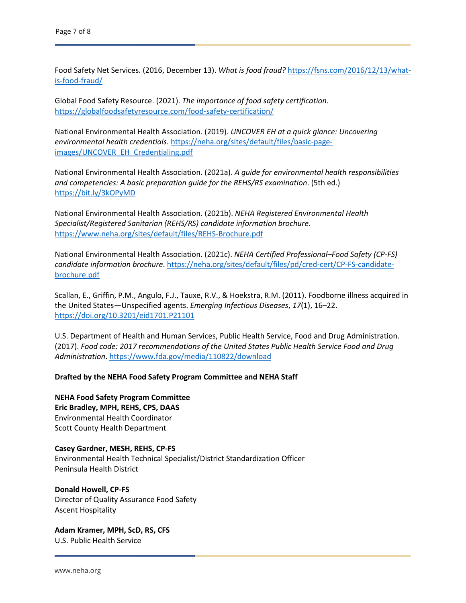Food Safety Net Services. (2016, December 13). *What is food fraud?* [https://fsns.com/2016/12/13/what](https://fsns.com/2016/12/13/what-is-food-fraud/)[is-food-fraud/](https://fsns.com/2016/12/13/what-is-food-fraud/)

Global Food Safety Resource. (2021). *The importance of food safety certification*. [https://globalfoodsafetyresource.com/food-safety-certification/](about:blank)

National Environmental Health Association. (2019). *UNCOVER EH at a quick glance: Uncovering environmental health credentials*. [https://neha.org/sites/default/files/basic-page](https://neha.org/sites/default/files/basic-page-images/UNCOVER_EH_Credentialing.pdf)[images/UNCOVER\\_EH\\_Credentialing.pdf](https://neha.org/sites/default/files/basic-page-images/UNCOVER_EH_Credentialing.pdf)

National Environmental Health Association. (2021a). *A guide for environmental health responsibilities and competencies: A basic preparation guide for the REHS/RS examination*. (5th ed.) <https://bit.ly/3kOPyMD>

National Environmental Health Association. (2021b). *NEHA Registered Environmental Health Specialist/Registered Sanitarian (REHS/RS) candidate information brochure*. [https://www.neha.org/sites/default/files/REHS-Brochure.pdf](about:blank)

National Environmental Health Association. (2021c). *NEHA Certified Professional–Food Safety (CP-FS) candidate information brochure*. [https://neha.org/sites/default/files/pd/cred-cert/CP-FS-candidate](https://neha.org/sites/default/files/pd/cred-cert/CP-FS-candidate-brochure.pdf)[brochure.pdf](https://neha.org/sites/default/files/pd/cred-cert/CP-FS-candidate-brochure.pdf)

Scallan, E., Griffin, P.M., Angulo, F.J., Tauxe, R.V., & Hoekstra, R.M. (2011). Foodborne illness acquired in the United States—Unspecified agents. *Emerging Infectious Diseases*, *17*(1), 16–22. <https://doi.org/10.3201/eid1701.P21101>

U.S. Department of Health and Human Services, Public Health Service, Food and Drug Administration. (2017). *Food code: 2017 recommendations of the United States Public Health Service Food and Drug Administration*[. https://www.fda.gov/media/110822/download](https://www.fda.gov/media/110822/download)

**Drafted by the NEHA Food Safety Program Committee and NEHA Staff**

**NEHA Food Safety Program Committee Eric Bradley, MPH, REHS, CPS, DAAS** Environmental Health Coordinator Scott County Health Department

**Casey Gardner, MESH, REHS, CP‐FS** Environmental Health Technical Specialist/District Standardization Officer Peninsula Health District

**Donald Howell, CP-FS** Director of Quality Assurance Food Safety Ascent Hospitality

**Adam Kramer, MPH, ScD, RS, CFS** U.S. Public Health Service